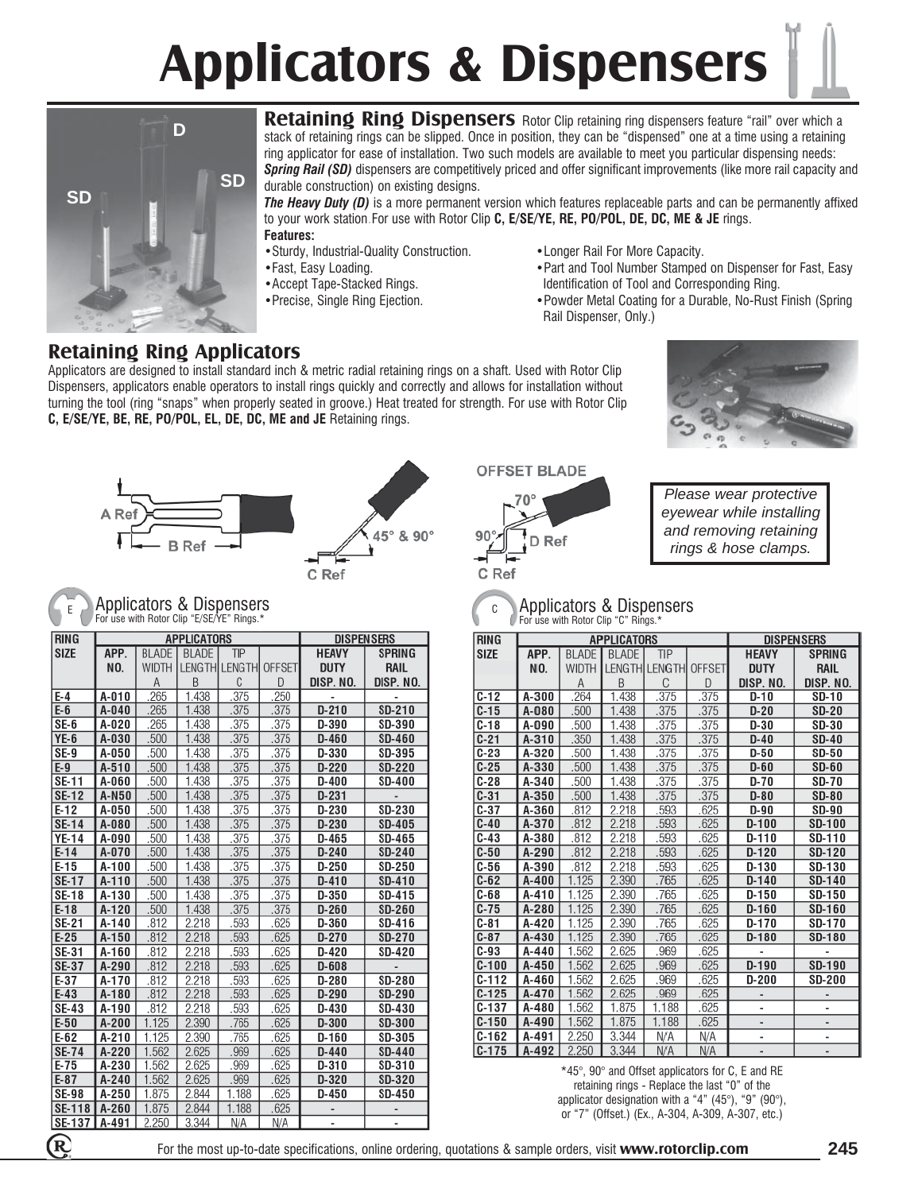## **Applicators & Dispensers**



**Retaining Ring Dispensers** Rotor Clip retaining ring dispensers feature "rail" over which a stack of retaining rings can be slipped. Once in position, they can be "dispensed" one at a time using a retaining ring applicator for ease of installation. Two such models are available to meet you particular dispensing needs: *Spring Rail (SD)* dispensers are competitively priced and offer significant improvements (like more rail capacity and durable construction) on existing designs.

*The Heavy Duty (D)* is a more permanent version which features replaceable parts and can be permanently affixed to your work station.For use with Rotor Clip **C, E/SE/YE, RE, PO/POL, DE, DC, ME & JE** rings. **Features:**

- Sturdy, Industrial-Quality Construction. Longer Rail For More Capacity.<br>• Part and Tool Number Stamped<br>• Part and Tool Number Stamped
- 
- 
- 
- 
- •Fast, Easy Loading. •Part and Tool Number Stamped on Dispenser for Fast, Easy •Accept Tape-Stacked Rings. In the Internal of Tool and Corresponding Ring.<br>•Precise, Single Ring Ejection. The Section of Tool and Coating for a Durable, No-Rust
	- Powder Metal Coating for a Durable, No-Rust Finish (Spring Rail Dispenser, Only.)

### **Retaining Ring Applicators**

Applicators are designed to install standard inch & metric radial retaining rings on a shaft. Used with Rotor Clip Dispensers, applicators enable operators to install rings quickly and correctly and allows for installation without turning the tool (ring "snaps" when properly seated in groove.) Heat treated for strength. For use with Rotor Clip **C, E/SE/YE, BE, RE, PO/POL, EL, DE, DC, ME and JE** Retaining rings.







**OFFSET BLADE** 





### Applicators & Dispensers For use with Rotor Clip "E/SE/YE" Rings.\*

| <b>RING</b>   |           |              | <b>APPLICATORS</b> | <b>DISPENSERS</b> |               |              |               |
|---------------|-----------|--------------|--------------------|-------------------|---------------|--------------|---------------|
| <b>SIZE</b>   | APP.      | <b>BLADE</b> | <b>BLADE</b>       | TIP               |               | <b>HEAVY</b> | <b>SPRING</b> |
|               | NO.       | <b>WIDTH</b> | LENGTH LENGTH      |                   | <b>OFFSET</b> | <b>DUTY</b>  | RAIL          |
|               |           | A            | B                  | C                 | D             | DISP. NO.    | DISP. NO.     |
| $E-4$         | A-010     | .265         | 1.438              | .375              | .250          |              |               |
| $E-6$         | $A-040$   | .265         | 1.438              | .375              | .375          | $D-210$      | SD-210        |
| $SE-6$        | A-020     | .265         | 1.438              | .375              | .375          | D-390        | SD-390        |
| <b>YE-6</b>   | A-030     | .500         | 1.438              | .375              | .375          | $D-460$      | <b>SD-460</b> |
| SE-9          | A-050     | .500         | 1.438              | .375              | .375          | D-330        | SD-395        |
| $E-9$         | $A-510$   | .500         | 1.438              | .375              | .375          | $D-220$      | <b>SD-220</b> |
| SE-11         | A-060     | .500         | 1.438              | .375              | .375          | $D-400$      | <b>SD-400</b> |
| <b>SE-12</b>  | A-N50     | .500         | 1.438              | .375              | .375          | $D-231$      |               |
| $E-12$        | A-050     | .500         | 1.438              | .375              | .375          | $D-230$      | <b>SD-230</b> |
| <b>SE-14</b>  | A-080     | .500         | 1.438              | .375              | .375          | $D-230$      | <b>SD-405</b> |
| YE-14         | A-090     | .500         | 1.438              | .375              | .375          | $D-465$      | SD-465        |
| $E-14$        | A-070     | .500         | 1.438              | 375               | .375          | $D-240$      | <b>SD-240</b> |
| $E-15$        | A-100     | .500         | 1.438              | .375              | .375          | $D-250$      | <b>SD-250</b> |
| <b>SE-17</b>  | $A-110$   | .500         | 1.438              | .375              | .375          | $D-410$      | SD-410        |
| <b>SE-18</b>  | A-130     | .500         | 1.438              | .375              | .375          | D-350        | <b>SD-415</b> |
| $E-18$        | $A-120$   | .500         | 1.438              | .375              | .375          | $D-260$      | <b>SD-260</b> |
| SE-21         | A-140     | .812         | 2.218              | .593              | .625          | $D-360$      | SD-416        |
| $E-25$        | $A-150$   | .812         | 2.218              | 593               | .625          | $D-270$      | <b>SD-270</b> |
| SE-31         | A-160     | .812         | 2.218              | 593               | .625          | $D-420$      | SD-420        |
| $SE-37$       | A-290     | .812         | 2.218              | 593               | .625          | $D - 608$    |               |
| $E-37$        | A-170     | .812         | 2.218              | .593              | .625          | $D-280$      | <b>SD-280</b> |
| $E-43$        | $A-180$   | .812         | 2.218              | .593              | .625          | $D-290$      | <b>SD-290</b> |
| <b>SE-43</b>  | A-190     | .812         | 2.218              | .593              | .625          | $D-430$      | SD-430        |
| $E-50$        | $A-200$   | 1.125        | 2.390              | .765              | .625          | $D-300$      | <b>SD-300</b> |
| $E-62$        | A-210     | 1.125        | 2.390              | .765              | .625          | $D-160$      | <b>SD-305</b> |
| <b>SE-74</b>  | A-220     | 1.562        | 2.625              | .969              | .625          | $D-440$      | <b>SD-440</b> |
| $E-75$        | A-230     | 1.562        | 2.625              | .969              | .625          | $D-310$      | SD-310        |
| $E-87$        | $A - 240$ | 1.562        | 2.625              | .969              | .625          | $D-320$      | <b>SD-320</b> |
| <b>SE-98</b>  | A-250     | 1.875        | 2.844              | 1.188             | .625          | $D-450$      | SD-450        |
| <b>SE-118</b> | $A-260$   | 1.875        | 2.844              | 1.188             | .625          |              |               |
| SE-137        | A-491     | 2.250        | 3.344              | N/A               | N/A           | ٠            |               |

#### <sup>E</sup> Applicators & Dispensers For use with Rotor Clip "C" Rings." C

| <b>RING</b> |         |              | <b>APPLICATORS</b> | <b>DISPENSERS</b>    |               |              |               |
|-------------|---------|--------------|--------------------|----------------------|---------------|--------------|---------------|
| <b>SIZE</b> | APP.    | <b>BLADE</b> | <b>BLADE</b>       | TIP                  |               | <b>HEAVY</b> | <b>SPRING</b> |
|             | NO.     | <b>WIDTH</b> |                    | <b>LENGTH LENGTH</b> | <b>OFFSET</b> | <b>DUTY</b>  | <b>RAIL</b>   |
|             |         | Α            | B                  | C                    | D             | DISP. NO.    | DISP. NO.     |
| $C-12$      | A-300   | .264         | 1.438              | .375                 | .375          | $D-10$       | <b>SD-10</b>  |
| $C-15$      | A-080   | .500         | 1.438              | .375                 | .375          | $D-20$       | <b>SD-20</b>  |
| $C-18$      | A-090   | .500         | 1.438              | .375                 | .375          | $D-30$       | <b>SD-30</b>  |
| $C-21$      | $A-310$ | .350         | 1.438              | .375                 | .375          | $D-40$       | <b>SD-40</b>  |
| $C-23$      | A-320   | .500         | 1.438              | .375                 | .375          | D-50         | <b>SD-50</b>  |
| $C-25$      | A-330   | .500         | 1.438              | .375                 | .375          | $D-60$       | $SD-60$       |
| $C-28$      | A-340   | .500         | 1.438              | .375                 | .375          | $D-70$       | <b>SD-70</b>  |
| $C-31$      | $A-350$ | .500         | 1.438              | .375                 | .375          | $D-80$       | <b>SD-80</b>  |
| $C-37$      | A-360   | .812         | 2.218              | .593                 | .625          | D-90         | <b>SD-90</b>  |
| $C-40$      | A-370   | .812         | 2.218              | .593                 | .625          | $D-100$      | <b>SD-100</b> |
| $C-43$      | A-380   | .812         | 2.218              | .593                 | .625          | $D-110$      | <b>SD-110</b> |
| $C-50$      | A-290   | .812         | 2.218              | .593                 | .625          | $D-120$      | <b>SD-120</b> |
| $C-56$      | A-390   | .812         | 2.218              | .593                 | .625          | D-130        | SD-130        |
| $C-62$      | $A-400$ | 1.125        | 2.390              | .765                 | .625          | $D-140$      | <b>SD-140</b> |
| $C-68$      | A-410   | 1.125        | 2.390              | .765                 | .625          | $D-150$      | <b>SD-150</b> |
| $C-75$      | A-280   | 1.125        | 2.390              | .765                 | .625          | $D-160$      | <b>SD-160</b> |
| $C-81$      | A-420   | 1.125        | 2.390              | .765                 | .625          | $D-170$      | <b>SD-170</b> |
| $C-87$      | A-430   | 1.125        | 2.390              | .765                 | .625          | $D-180$      | <b>SD-180</b> |
| $C-93$      | A-440   | 1.562        | 2.625              | .969                 | .625          |              |               |
| $C-100$     | $A-450$ | 1.562        | 2.625              | .969                 | .625          | $D-190$      | <b>SD-190</b> |
| $C-112$     | A-460   | 1.562        | 2.625              | .969                 | .625          | D-200        | <b>SD-200</b> |
| $C-125$     | A-470   | 1.562        | 2.625              | .969                 | .625          |              |               |
| $C-137$     | A-480   | 1.562        | 1.875              | 1.188                | .625          |              |               |
| $C-150$     | A-490   | 1.562        | 1.875              | 1.188                | .625          |              |               |
| $C-162$     | A-491   | 2.250        | 3.344              | N/A                  | N/A           |              |               |
| $C-175$     | A-492   | 2.250        | 3.344              | N/A                  | N/A           |              |               |

\*45°, 90° and Offset applicators for C, E and RE retaining rings - Replace the last "0" of the applicator designation with a "4" (45°), "9" (90°), or "7" (Offset.) (Ex., A-304, A-309, A-307, etc.)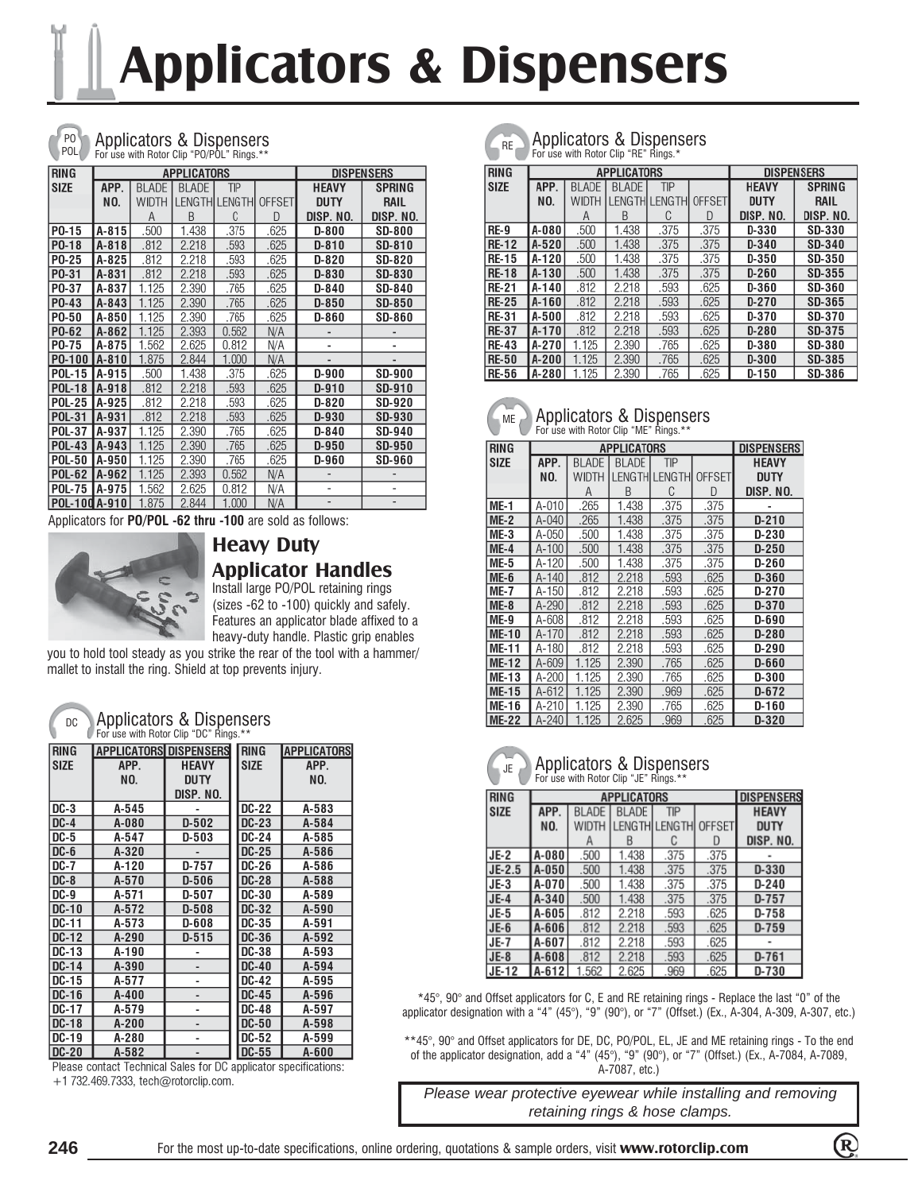# **Applicators & Dispensers**



#### Applicators & Dispensers Republications Applications & Dispensers For use with Rotor Clip "PO/POL" Rings.\*\*

| <b>RING</b>   |              |              | <b>APPLICATORS</b> |                       |               |              | <b>DISPENSERS</b> |
|---------------|--------------|--------------|--------------------|-----------------------|---------------|--------------|-------------------|
| <b>SIZE</b>   | APP.         | <b>BLADE</b> | <b>BLADE</b>       | TIP                   |               | <b>HEAVY</b> | <b>SPRING</b>     |
|               | NO.          | WIDTH        |                    | <b>LENGTHILENGTHI</b> | <b>OFFSET</b> | <b>DUTY</b>  | RAIL              |
|               |              | Α            | B                  | C                     | D             | DISP. NO.    | DISP. NO.         |
| P0-15         | A-815        | .500         | 1.438              | .375                  | .625          | <b>D-800</b> | <b>SD-800</b>     |
| PO-18         | $A - 818$    | .812         | 2.218              | .593                  | .625          | $D-810$      | <b>SD-810</b>     |
| P0-25         | A-825        | .812         | 2.218              | .593                  | .625          | D-820        | <b>SD-820</b>     |
| P0-31         | A-831        | .812         | 2.218              | .593                  | .625          | D-830        | <b>SD-830</b>     |
| P0-37         | A-837        | 1.125        | 2.390              | .765                  | .625          | $D-840$      | SD-840            |
| P0-43         | A-843        | 1.125        | 2.390              | .765                  | .625          | $D-850$      | <b>SD-850</b>     |
| P0-50         | A-850        | 1.125        | 2.390              | .765                  | .625          | D-860        | <b>SD-860</b>     |
| P0-62         | $A - 862$    | 1.125        | 2.393              | 0.562                 | N/A           |              |                   |
| P0-75         | A-875        | 1.562        | 2.625              | 0.812                 | N/A           |              |                   |
| PO-100 A-810  |              | 1.875        | 2.844              | 1.000                 | N/A           |              |                   |
| <b>POL-15</b> | <b>A-915</b> | .500         | 1.438              | .375                  | .625          | $D-900$      | <b>SD-900</b>     |
| <b>POL-18</b> | A-918        | .812         | 2.218              | .593                  | .625          | $D-910$      | SD-910            |
| <b>POL-25</b> | A-925        | .812         | 2.218              | .593                  | .625          | $D-820$      | <b>SD-920</b>     |
| <b>POL-31</b> | A-931        | .812         | 2.218              | .593                  | .625          | D-930        | <b>SD-930</b>     |
| <b>POL-37</b> | A-937        | 1.125        | 2.390              | .765                  | .625          | $D-840$      | SD-940            |
| <b>POL-43</b> | A-943        | 1.125        | 2.390              | .765                  | .625          | $D-950$      | <b>SD-950</b>     |
| <b>POL-50</b> | A-950        | 1.125        | 2.390              | .765                  | .625          | D-960        | <b>SD-960</b>     |
| <b>POL-62</b> | A-962        | 1.125        | 2.393              | 0.562                 | N/A           |              |                   |
| <b>POL-75</b> | A-975        | 1.562        | 2.625              | 0.812                 | N/A           | ٠            | ٠                 |
| POL-100 A-910 |              | 1.875        | 2.844              | 1.000                 | N/A           |              |                   |

Applicators for **PO/POL -62 thru -100** are sold as follows:



## **Heavy Duty Applicator Handles**

Install large PO/POL retaining rings (sizes -62 to -100) quickly and safely. Features an applicator blade affixed to a heavy-duty handle. Plastic grip enables

you to hold tool steady as you strike the rear of the tool with a hammer/ mallet to install the ring. Shield at top prevents injury.

| DC<br>Applicaturs & Disperisers<br>For use with Rotor Clip "DC" Rings.** |                               |              |              |                    |  |  |  |
|--------------------------------------------------------------------------|-------------------------------|--------------|--------------|--------------------|--|--|--|
| <b>RING</b>                                                              | <b>APPLICATORS DISPENSERS</b> |              | <b>RING</b>  | <b>APPLICATORS</b> |  |  |  |
| <b>SIZE</b>                                                              | APP.                          | <b>HEAVY</b> | <b>SIZE</b>  | APP.               |  |  |  |
|                                                                          | NO.                           | <b>DUTY</b>  |              | NO.                |  |  |  |
|                                                                          |                               | DISP. NO.    |              |                    |  |  |  |
| DC-3                                                                     | A-545                         |              | <b>DC-22</b> | A-583              |  |  |  |
| $DC-4$                                                                   | A-080                         | $D-502$      | DC-23        | A-584              |  |  |  |
| <b>DC-5</b>                                                              | A-547                         | $D-503$      | DC-24        | A-585              |  |  |  |
| $DC-6$                                                                   | $A-320$                       |              | <b>DC-25</b> | A-586              |  |  |  |
| <b>DC-7</b>                                                              | A-120                         | $D-757$      | <b>DC-26</b> | A-586              |  |  |  |
| $DC-8$                                                                   | A-570                         | $D-506$      | <b>DC-28</b> | A-588              |  |  |  |
| <b>DC-9</b>                                                              | A-571                         | D-507        | DC-30        | A-589              |  |  |  |
| <b>DC-10</b>                                                             | A-572                         | $D-508$      | <b>DC-32</b> | A-590              |  |  |  |
| DC-11                                                                    | A-573                         | D-608        | DC-35        | A-591              |  |  |  |
| DC-12                                                                    | A-290                         | $D-515$      | <b>DC-36</b> | A-592              |  |  |  |
| DC-13                                                                    | A-190                         |              | DC-38        | A-593              |  |  |  |
| DC-14                                                                    | A-390                         | ۰            | <b>DC-40</b> | A-594              |  |  |  |
| DC-15                                                                    | A-577                         | ۰            | DC-42        | A-595              |  |  |  |
| DC-16                                                                    | A-400                         | ۰            | <b>DC-45</b> | A-596              |  |  |  |
| DC-17                                                                    | A-579                         | ٠            | <b>DC-48</b> | A-597              |  |  |  |
| <b>DC-18</b>                                                             | $A-200$                       | ۰            | <b>DC-50</b> | A-598              |  |  |  |
| DC-19                                                                    | A-280                         | ۰            | DC-52        | A-599              |  |  |  |
| <b>DC-20</b>                                                             | A-582                         |              | <b>DC-55</b> | A-600              |  |  |  |

Applicators & Dispensers

Please contact Technical Sales for DC applicator specifications: +1 732.469.7333, tech@rotorclip.com.

Applicators & Dispensers For use with Rotor Clip "RE" Rings.\*

| <b>RING</b>  |        |              | <b>APPLICATORS</b> |             |               |              |                   |
|--------------|--------|--------------|--------------------|-------------|---------------|--------------|-------------------|
|              |        |              |                    |             |               |              | <b>DISPENSERS</b> |
| <b>SIZE</b>  | APP.   | <b>BLADE</b> | <b>BLADE</b>       | TIP         |               | <b>HEAVY</b> | <b>SPRING</b>     |
|              | NO.    | WIDTH        | I ENGTH            | <b>LENG</b> | <b>OFFSET</b> | <b>DUTY</b>  | RAIL              |
|              |        | А            | R                  | С           | D             | DISP. NO.    | DISP. NO.         |
| <b>RE-9</b>  | IA-080 | .500         | 1.438              | .375        | .375          | D-330        | <b>SD-330</b>     |
| <b>RE-12</b> | IA-520 | .500         | 1.438              | .375        | .375          | $D-340$      | SD-340            |
| <b>RE-15</b> | IA-120 | .500         | 1.438              | .375        | .375          | D-350        | <b>SD-350</b>     |
| <b>RE-18</b> | IA-130 | .500         | 1.438              | .375        | .375          | $D-260$      | <b>SD-355</b>     |
| <b>RE-21</b> | IA-140 | .812         | 2.218              | .593        | .625          | D-360        | <b>SD-360</b>     |
| <b>RE-25</b> | IA-160 | .812         | 2.218              | .593        | .625          | $D-270$      | <b>SD-365</b>     |
| <b>RE-31</b> | IA-500 | .812         | 2.218              | .593        | .625          | D-370        | <b>SD-370</b>     |
| <b>RE-37</b> | IA-170 | .812         | 2.218              | .593        | .625          | $D-280$      | <b>SD-375</b>     |
| <b>RE-43</b> | IA-270 | 1.125        | 2.390              | .765        | .625          | D-380        | <b>SD-380</b>     |
| <b>RE-50</b> | IA-200 | 1.125        | 2.390              | .765        | .625          | $D-300$      | <b>SD-385</b>     |
| <b>RE-56</b> | A-280  | 1.125        | 2.390              | .765        | .625          | $D-150$      | <b>SD-386</b>     |



| RING         |         |       | <b>APPLICATORS</b> |             |               | <b>DISPENSERS</b> |
|--------------|---------|-------|--------------------|-------------|---------------|-------------------|
| SIZE         | APP.    | BLADE | <b>BLADE</b>       | TIP         |               | <b>HEAVY</b>      |
|              | NO.     | Width | <b>FNGTH</b>       | <b>ENGT</b> | <b>OFFSET</b> | <b>DUTY</b>       |
|              |         | Α     | B                  | C           | D             | DISP. NO.         |
| ME-1         | $A-010$ | .265  | 1.438              | .375        | .375          |                   |
| <b>ME-2</b>  | A-040   | .265  | 1.438              | .375        | .375          | $D-210$           |
| <b>ME-3</b>  | A-050   | .500  | 1.438              | .375        | .375          | D-230             |
| <b>ME-4</b>  | A-100   | .500  | 1.438              | .375        | .375          | $D-250$           |
| ME-5         | A-120   | .500  | 1.438              | .375        | .375          | D-260             |
| <b>ME-6</b>  | A-140   | .812  | 2.218              | .593        | .625          | D-360             |
| ME-7         | A-150   | .812  | 2.218              | .593        | .625          | D-270             |
| <b>ME-8</b>  | A-290   | .812  | 2.218              | .593        | .625          | D-370             |
| ME-9         | A-608   | .812  | 2.218              | .593        | .625          | D-690             |
| ME-10        | A-170   | .812  | 2.218              | .593        | .625          | D-280             |
| ME-11        | A-180   | .812  | 2.218              | .593        | .625          | D-290             |
| ME-12        | A-609   | 1.125 | 2.390              | .765        | .625          | D-660             |
| ME-13        | A-200   | 1.125 | 2.390              | .765        | .625          | D-300             |
| <b>ME-15</b> | A-612   | 1.125 | 2.390              | .969        | .625          | D-672             |
| ME-16        | A-210   | 1.125 | 2.390              | .765        | .625          | D-160             |
| <b>ME-22</b> | A-240   | 1.125 | 2.625              | .969        | .625          | D-320             |

JE

#### Applicators & Dispensers For use with Rotor Clip "JE" Rings.\*

| <b>RING</b> |           |              | <b>DISPENSERS</b> |                      |      |              |
|-------------|-----------|--------------|-------------------|----------------------|------|--------------|
| <b>SIZE</b> | APP.      | <b>BLADE</b> | <b>BLADE</b>      | TIP                  |      | <b>HEAVY</b> |
|             | NO.       | <b>WIDTH</b> |                   | LENGTH LENGTH OFFSET |      | <b>DUTY</b>  |
|             |           |              | к                 |                      |      | DISP. NO.    |
| $JE-2$      | A-080     | .500         | 1.438             | .375                 | .375 |              |
| $JE-2.5$    | $A-050$   | .500         | 1.438             | .375                 | .375 | $D-330$      |
| $JE-3$      | A-070     | .500         | 1.438             | .375                 | .375 | $D-240$      |
| $JE-4$      | $A - 340$ | .500         | 1.438             | .375                 | .375 | $D-757$      |
| $JE-5$      | A-605     | .812         | 2.218             | .593                 | .625 | $D-758$      |
| $JE-6$      | $A-606$   | .812         | 2.218             | .593                 | .625 | $D-759$      |
| <b>JE-7</b> | $A-607$   | .812         | 2.218             | .593                 | .625 |              |
| $JE-8$      | A-608     | .812         | 2.218             | .593                 | .625 | $D-761$      |
| JE-12       | A-612     | .562         | 2.625             | .969                 | .625 | D-730        |

\*45°, 90° and Offset applicators for C, E and RE retaining rings - Replace the last "0" of the applicator designation with a "4"  $(45^{\circ})$ , "9"  $(90^{\circ})$ , or "7"  $(0$ ffset.)  $(Ex, A-304, A-309, A-307, etc.)$ 

\*\*45°, 90° and Offset applicators for DE, DC, PO/POL, EL, JE and ME retaining rings - To the end of the applicator designation, add a "4" (45°), "9" (90°), or "7" (Offset.) (Ex., A-7084, A-7089, A-7087, etc.)

*Please wear protective eyewear while installing and removing retaining rings & hose clamps.*

 $\bigcirc$